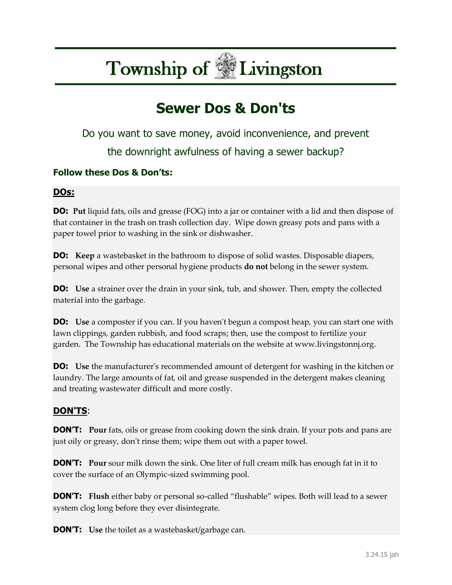# **Township of Livingston**

## **Sewer Dos & Don'ts**

Do you want to save money, avoid inconvenience, and prevent the downright awfulness of having a sewer backup?

### **Follow these Dos & Don'ts:**

#### **DOs:**

**DO:** Put liquid fats, oils and grease (FOG) into a jar or container with a lid and then dispose of that container in the trash on trash collection day. Wipe down greasy pots and pans with a paper towel prior to washing in the sink or dishwasher.

**DO:** Keep a wastebasket in the bathroom to dispose of solid wastes. Disposable diapers, personal wipes and other personal hygiene products **do not** belong in the sewer system.

**DO:** Use a strainer over the drain in your sink, tub, and shower. Then, empty the collected material into the garbage.

**DO:** Use a composter if you can. If you haven't begun a compost heap, you can start one with lawn clippings, garden rubbish, and food scraps; then, use the compost to fertilize your garden. The Township has educational materials on the website at www.livingstonnj.org.

**DO:** Use the manufacturer's recommended amount of detergent for washing in the kitchen or laundry. The large amounts of fat, oil and grease suspended in the detergent makes cleaning and treating wastewater difficult and more costly.

### **DON'TS**:

**DON'T:** Pour fats, oils or grease from cooking down the sink drain. If your pots and pans are just oily or greasy, don't rinse them; wipe them out with a paper towel.

**DON'T:** Pour sour milk down the sink. One liter of full cream milk has enough fat in it to cover the surface of an Olympic-sized swimming pool.

**DON'T: Flush** either baby or personal so-called "flushable" wipes. Both will lead to a sewer system clog long before they ever disintegrate.

**DON'T: Use** the toilet as a wastebasket/garbage can.